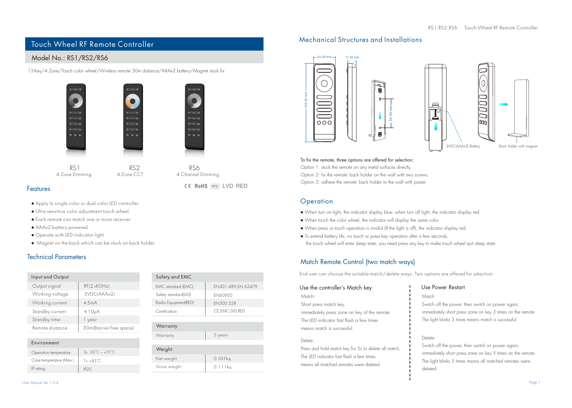# Touch Wheel RF Remote Controller

## Model No.: RS1/RS2/RS6

13-Key/4 Zone/Touch color wheel/Wireless remote 30m distance/AAAx2 battery/Magnet stuck fix





4 Zone Dimming 4 Zone CCT 4 Channel Dimming

#### Features

- Apply to single color or dual color LED controller.
- Ultra sensitive color adjustment touch wheel.
- Each remote can match one or more receiver.
- AAAx2 battery powered.
- Operate with LED indicator light.
- Magnet on the back which can be stuck on back holder.

 $Tc: +85^{\circ}C$ 

### Technical Parameters

| Input and Output        |                                                  | Safety and EMC       |
|-------------------------|--------------------------------------------------|----------------------|
| Output signal           | RF(2.4GHz)                                       | EMC standard (EMC)   |
| Working voltage         | 3VDCIAAAx21                                      | Safety standard(LVD) |
| Working current         | < 5mA                                            | Radio Equipment(RED) |
| Standby current         | <10 <sub>u</sub> A                               | Certification        |
| Standby time            | 1 year                                           |                      |
| Remote distance         | 30m(Barrier-free space)                          | Warranty             |
|                         |                                                  | Warranty             |
| Environment             |                                                  |                      |
| Operation temperature   | To: -30 $^{\circ}$ C $\approx$ +55 $^{\circ}$ C. | Weight               |
| Caso tomporature IMay 1 | $\tau = \alpha r^{\circ} \alpha$                 | Net weight           |

| <b>DUIDITY UND LITTLE</b> |                     |  |
|---------------------------|---------------------|--|
| EMC standard (EMC)        | EN301 489, EN 62479 |  |
| Safety standard(LVD)      | <b>FN60950</b>      |  |
| Radio Equipment(RED)      | FN300 328           |  |
| Certification             | CE, EMC, LVD, RED   |  |
|                           |                     |  |

CE RoHS amc I VD RFD

| Weight       |            |  |  |  |
|--------------|------------|--|--|--|
| Net weight   | $0.057$ kg |  |  |  |
| Gross weight | $0.111$ kg |  |  |  |

Case temperature (Max.)

 $IP$  rating  $IP20$ 

### Mechanical Structures and Installations





#### To fix the remote, three options are offered for selection:

Option 1: stuck the remote on any metal surfaces directly. Option 2: fix the remote' back holder on the wall with two screws. Option 3: adhere the remote' back holder to the wall with paster.

#### **Operation**

- When turn on light, the indicator display blue. when turn off light, the indicator display red.
- When touch the color wheel, the indicator will display the same color.
- When press or touch operation is invalid (If the light is off), the indicator display red.
- To extend battery life, no touch or press key operation after a few seconds, the touch wheel will enter sleep state, you need press any key to make touch wheel quit sleep state.

## Match Remote Control (two match ways)

End user can choose the suitable match/delete ways. Two options are offered for selection:

#### Use the controller's Match key Match:

Short press match key,

immediately press zone on key of the remote. The LED indicator fast flash a few times means match is successful.

#### Delete:

Press and hold match key for 5s to delete all match, The LED indicator fast flash a few times means all matched remotes were deleted.

### Use Power Restart

Match: Switch off the power, then switch on power again.

immediately short press zone on key 3 times on the remote. The light blinks 3 times means match is successful.

## . Delete:

Switch off the power, then switch on power again, immediately short press zone on key 5 times on the remote. The light blinks 5 times means all matched remotes were deleted.